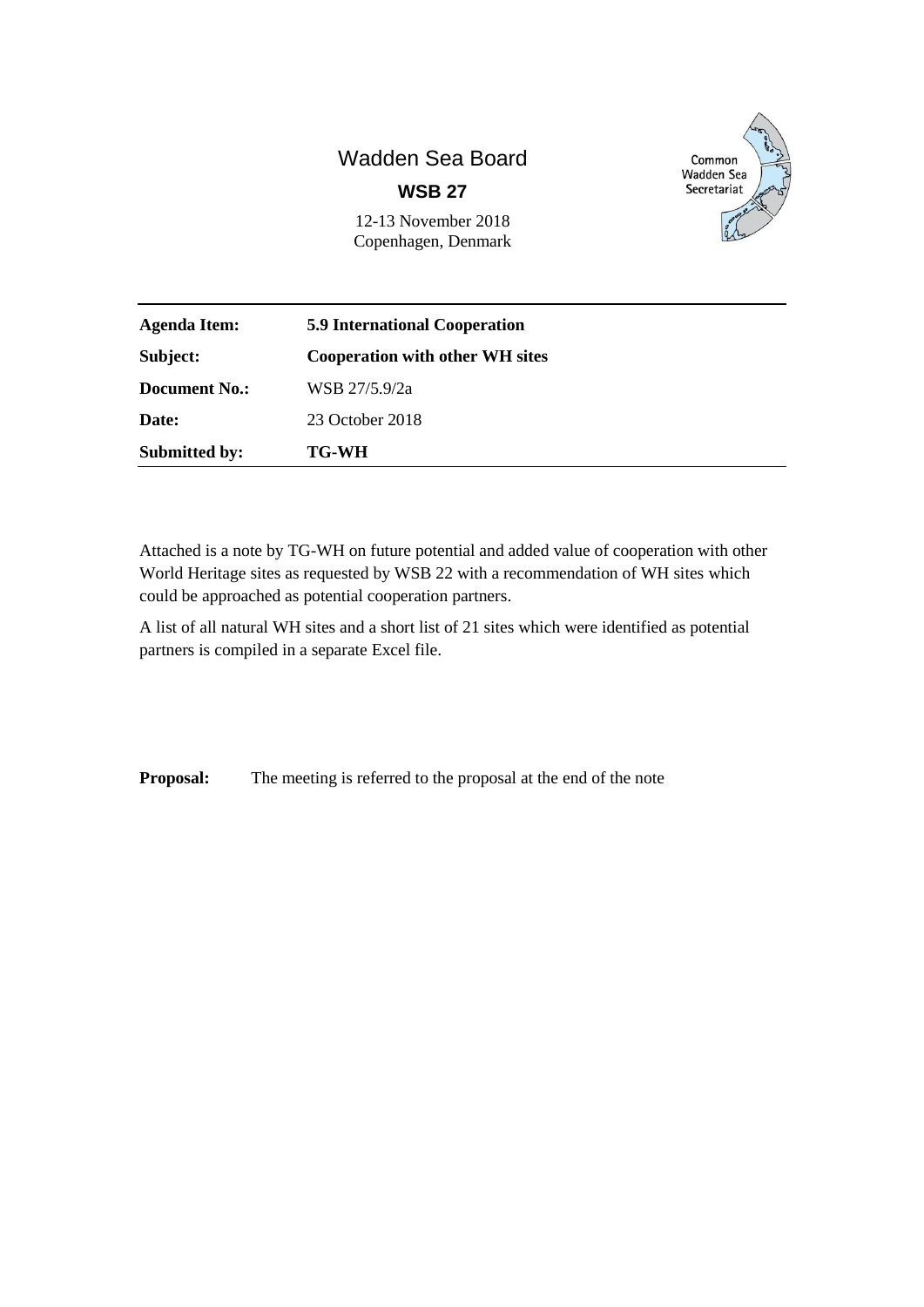# Wadden Sea Board **WSB 27**



12-13 November 2018 Copenhagen, Denmark

| <b>Agenda Item:</b>  | <b>5.9 International Cooperation</b><br><b>Cooperation with other WH sites</b> |  |
|----------------------|--------------------------------------------------------------------------------|--|
| Subject:             |                                                                                |  |
| Document No.:        | WSB 27/5.9/2a                                                                  |  |
| Date:                | 23 October 2018                                                                |  |
| <b>Submitted by:</b> | <b>TG-WH</b>                                                                   |  |

Attached is a note by TG-WH on future potential and added value of cooperation with other World Heritage sites as requested by WSB 22 with a recommendation of WH sites which could be approached as potential cooperation partners.

A list of all natural WH sites and a short list of 21 sites which were identified as potential partners is compiled in a separate Excel file.

**Proposal:** The meeting is referred to the proposal at the end of the note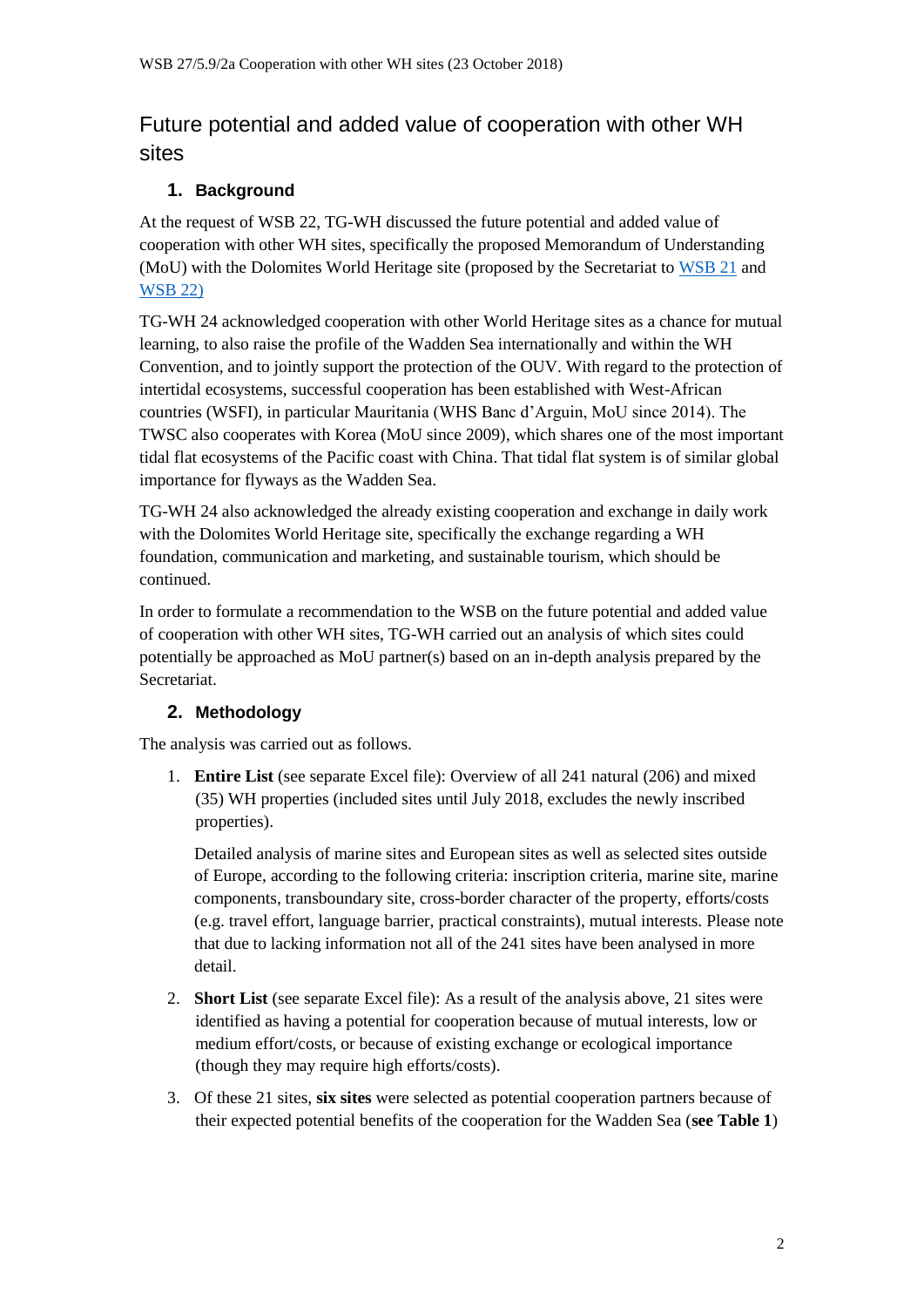## Future potential and added value of cooperation with other WH sites

#### **1. Background**

At the request of WSB 22, TG-WH discussed the future potential and added value of cooperation with other WH sites, specifically the proposed Memorandum of Understanding (MoU) with the Dolomites World Heritage site (proposed by the Secretariat to [WSB 21](http://www.waddensea-secretariat.org/sites/default/files/Meeting_Documents/WSB/WSB21/wsb_21-5.9-3_cooperation_dolomites.pdf) and [WSB 22\)](http://www.waddensea-secretariat.org/sites/default/files/Meeting_Documents/WSB/WSB22/wsb_22-5-9-2-dolomites_inventory_workplan.pdf)

TG-WH 24 acknowledged cooperation with other World Heritage sites as a chance for mutual learning, to also raise the profile of the Wadden Sea internationally and within the WH Convention, and to jointly support the protection of the OUV. With regard to the protection of intertidal ecosystems, successful cooperation has been established with West-African countries (WSFI), in particular Mauritania (WHS Banc d'Arguin, MoU since 2014). The TWSC also cooperates with Korea (MoU since 2009), which shares one of the most important tidal flat ecosystems of the Pacific coast with China. That tidal flat system is of similar global importance for flyways as the Wadden Sea.

TG-WH 24 also acknowledged the already existing cooperation and exchange in daily work with the Dolomites World Heritage site, specifically the exchange regarding a WH foundation, communication and marketing, and sustainable tourism, which should be continued.

In order to formulate a recommendation to the WSB on the future potential and added value of cooperation with other WH sites, TG-WH carried out an analysis of which sites could potentially be approached as MoU partner(s) based on an in-depth analysis prepared by the Secretariat.

#### **2. Methodology**

The analysis was carried out as follows.

1. **Entire List** (see separate Excel file): Overview of all 241 natural (206) and mixed (35) WH properties (included sites until July 2018, excludes the newly inscribed properties).

Detailed analysis of marine sites and European sites as well as selected sites outside of Europe, according to the following criteria: inscription criteria, marine site, marine components, transboundary site, cross-border character of the property, efforts/costs (e.g. travel effort, language barrier, practical constraints), mutual interests. Please note that due to lacking information not all of the 241 sites have been analysed in more detail.

- 2. **Short List** (see separate Excel file): As a result of the analysis above, 21 sites were identified as having a potential for cooperation because of mutual interests, low or medium effort/costs, or because of existing exchange or ecological importance (though they may require high efforts/costs).
- 3. Of these 21 sites, **six sites** were selected as potential cooperation partners because of their expected potential benefits of the cooperation for the Wadden Sea (**see Table 1**)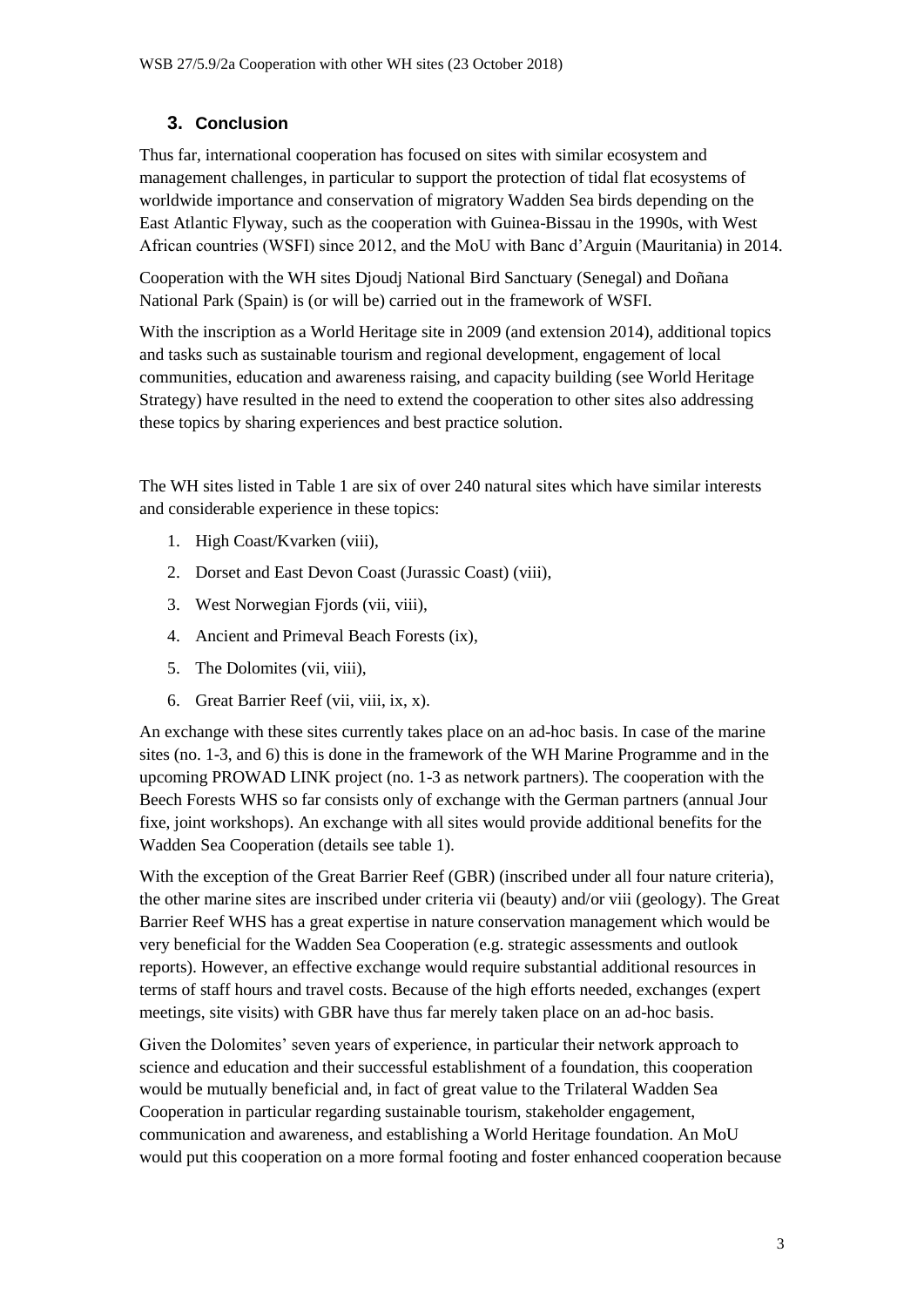### **3. Conclusion**

Thus far, international cooperation has focused on sites with similar ecosystem and management challenges, in particular to support the protection of tidal flat ecosystems of worldwide importance and conservation of migratory Wadden Sea birds depending on the East Atlantic Flyway, such as the cooperation with Guinea-Bissau in the 1990s, with West African countries (WSFI) since 2012, and the MoU with Banc d'Arguin (Mauritania) in 2014.

Cooperation with the WH sites Djoudj National Bird Sanctuary (Senegal) and Doñana National Park (Spain) is (or will be) carried out in the framework of WSFI.

With the inscription as a World Heritage site in 2009 (and extension 2014), additional topics and tasks such as sustainable tourism and regional development, engagement of local communities, education and awareness raising, and capacity building (see World Heritage Strategy) have resulted in the need to extend the cooperation to other sites also addressing these topics by sharing experiences and best practice solution.

The WH sites listed in Table 1 are six of over 240 natural sites which have similar interests and considerable experience in these topics:

- 1. High Coast/Kvarken (viii),
- 2. Dorset and East Devon Coast (Jurassic Coast) (viii),
- 3. West Norwegian Fjords (vii, viii),
- 4. Ancient and Primeval Beach Forests (ix),
- 5. The Dolomites (vii, viii),
- 6. Great Barrier Reef (vii, viii, ix, x).

An exchange with these sites currently takes place on an ad-hoc basis. In case of the marine sites (no. 1-3, and 6) this is done in the framework of the WH Marine Programme and in the upcoming PROWAD LINK project (no. 1-3 as network partners). The cooperation with the Beech Forests WHS so far consists only of exchange with the German partners (annual Jour fixe, joint workshops). An exchange with all sites would provide additional benefits for the Wadden Sea Cooperation (details see table 1).

With the exception of the Great Barrier Reef (GBR) (inscribed under all four nature criteria), the other marine sites are inscribed under criteria vii (beauty) and/or viii (geology). The Great Barrier Reef WHS has a great expertise in nature conservation management which would be very beneficial for the Wadden Sea Cooperation (e.g. strategic assessments and outlook reports). However, an effective exchange would require substantial additional resources in terms of staff hours and travel costs. Because of the high efforts needed, exchanges (expert meetings, site visits) with GBR have thus far merely taken place on an ad-hoc basis.

Given the Dolomites' seven years of experience, in particular their network approach to science and education and their successful establishment of a foundation, this cooperation would be mutually beneficial and, in fact of great value to the Trilateral Wadden Sea Cooperation in particular regarding sustainable tourism, stakeholder engagement, communication and awareness, and establishing a World Heritage foundation. An MoU would put this cooperation on a more formal footing and foster enhanced cooperation because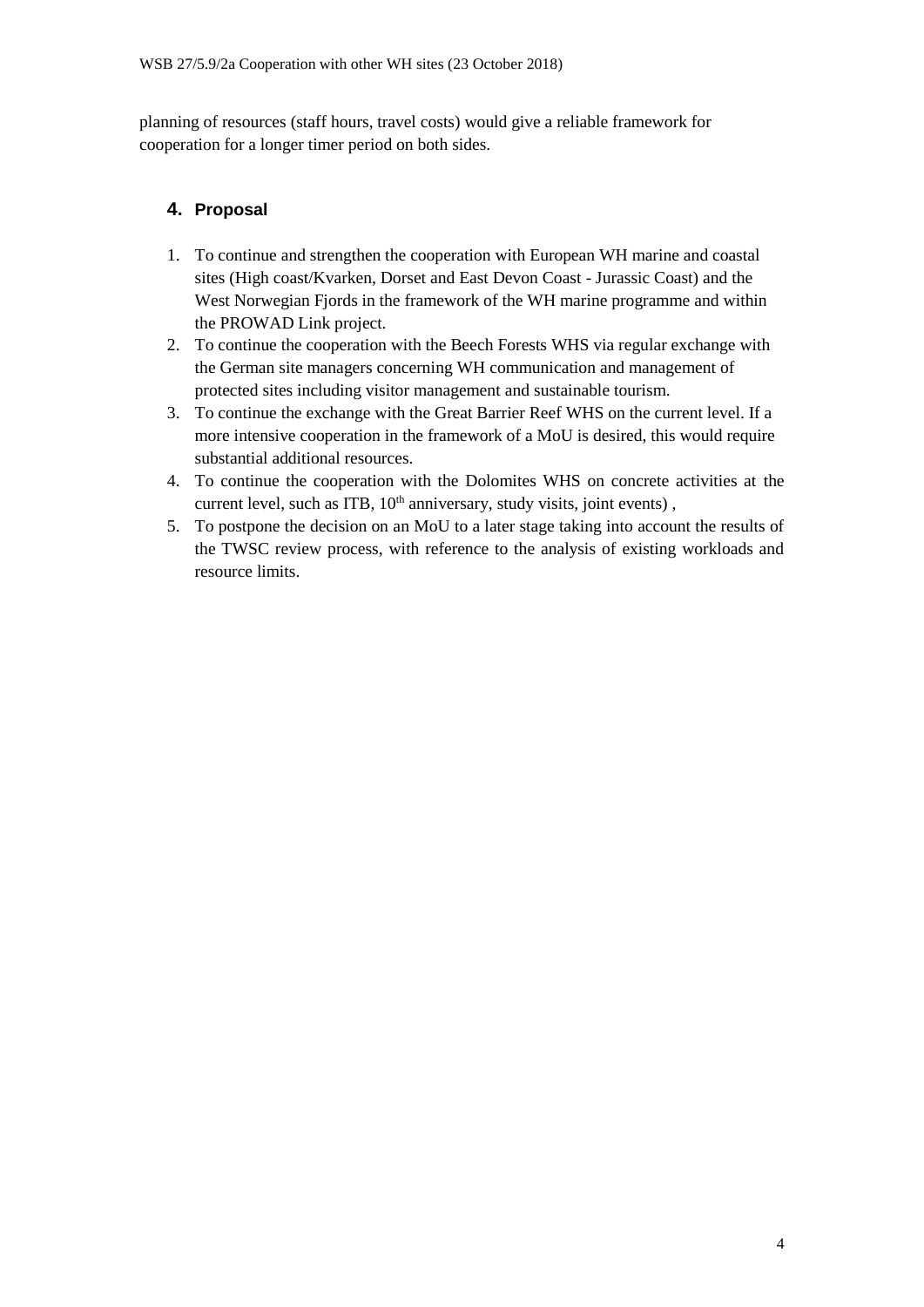planning of resources (staff hours, travel costs) would give a reliable framework for cooperation for a longer timer period on both sides.

#### **4. Proposal**

- 1. To continue and strengthen the cooperation with European WH marine and coastal sites (High coast/Kvarken, Dorset and East Devon Coast - Jurassic Coast) and the West Norwegian Fjords in the framework of the WH marine programme and within the PROWAD Link project.
- 2. To continue the cooperation with the Beech Forests WHS via regular exchange with the German site managers concerning WH communication and management of protected sites including visitor management and sustainable tourism.
- 3. To continue the exchange with the Great Barrier Reef WHS on the current level. If a more intensive cooperation in the framework of a MoU is desired, this would require substantial additional resources.
- 4. To continue the cooperation with the Dolomites WHS on concrete activities at the current level, such as ITB, 10<sup>th</sup> anniversary, study visits, joint events),
- 5. To postpone the decision on an MoU to a later stage taking into account the results of the TWSC review process, with reference to the analysis of existing workloads and resource limits.